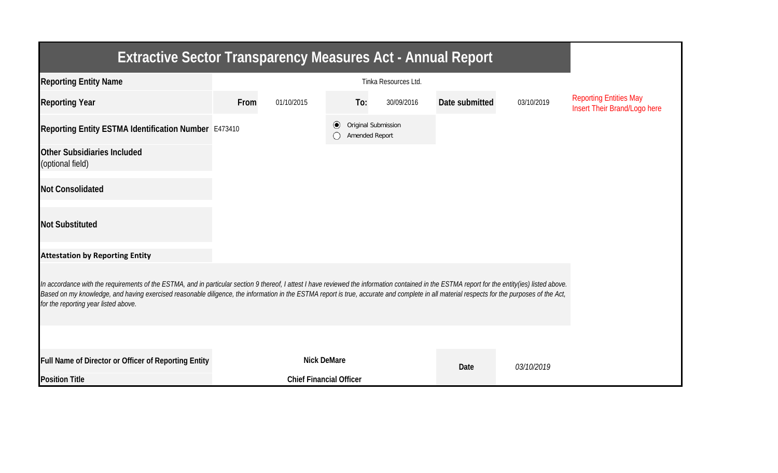| <b>Extractive Sector Transparency Measures Act - Annual Report</b>                                                                                                                                                                                                                                                                                                                                                                    |      |                                |                                                  |     |            |                |            |                                                               |  |  |  |
|---------------------------------------------------------------------------------------------------------------------------------------------------------------------------------------------------------------------------------------------------------------------------------------------------------------------------------------------------------------------------------------------------------------------------------------|------|--------------------------------|--------------------------------------------------|-----|------------|----------------|------------|---------------------------------------------------------------|--|--|--|
| <b>Reporting Entity Name</b>                                                                                                                                                                                                                                                                                                                                                                                                          |      |                                |                                                  |     |            |                |            |                                                               |  |  |  |
| <b>Reporting Year</b>                                                                                                                                                                                                                                                                                                                                                                                                                 | From | 01/10/2015                     |                                                  | To: | 30/09/2016 | Date submitted | 03/10/2019 | <b>Reporting Entities May</b><br>Insert Their Brand/Logo here |  |  |  |
| Reporting Entity ESTMA Identification Number E473410                                                                                                                                                                                                                                                                                                                                                                                  |      |                                | Original Submission<br>$\odot$<br>Amended Report |     |            |                |            |                                                               |  |  |  |
| <b>Other Subsidiaries Included</b><br>(optional field)                                                                                                                                                                                                                                                                                                                                                                                |      |                                |                                                  |     |            |                |            |                                                               |  |  |  |
| <b>Not Consolidated</b>                                                                                                                                                                                                                                                                                                                                                                                                               |      |                                |                                                  |     |            |                |            |                                                               |  |  |  |
| <b>Not Substituted</b>                                                                                                                                                                                                                                                                                                                                                                                                                |      |                                |                                                  |     |            |                |            |                                                               |  |  |  |
| <b>Attestation by Reporting Entity</b>                                                                                                                                                                                                                                                                                                                                                                                                |      |                                |                                                  |     |            |                |            |                                                               |  |  |  |
| In accordance with the requirements of the ESTMA, and in particular section 9 thereof, I attest I have reviewed the information contained in the ESTMA report for the entity(ies) listed above.<br>Based on my knowledge, and having exercised reasonable diligence, the information in the ESTMA report is true, accurate and complete in all material respects for the purposes of the Act,<br>for the reporting year listed above. |      |                                |                                                  |     |            |                |            |                                                               |  |  |  |
|                                                                                                                                                                                                                                                                                                                                                                                                                                       |      |                                |                                                  |     |            |                |            |                                                               |  |  |  |
| Full Name of Director or Officer of Reporting Entity                                                                                                                                                                                                                                                                                                                                                                                  |      | <b>Nick DeMare</b>             |                                                  |     |            | Date           | 03/10/2019 |                                                               |  |  |  |
| <b>Position Title</b>                                                                                                                                                                                                                                                                                                                                                                                                                 |      | <b>Chief Financial Officer</b> |                                                  |     |            |                |            |                                                               |  |  |  |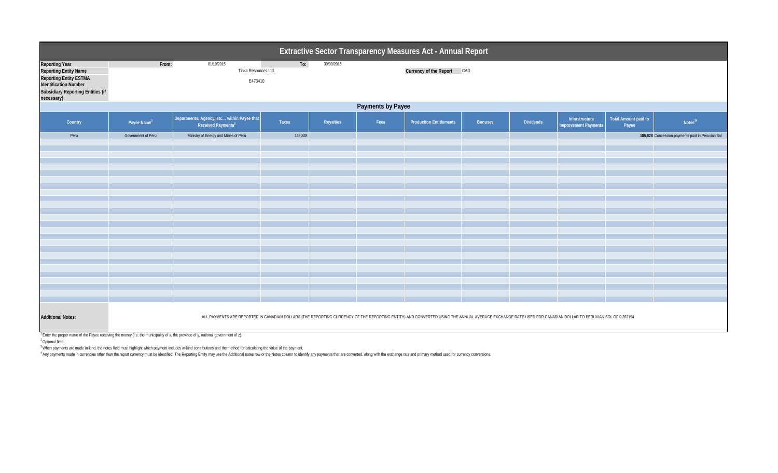|                                                                                                                                                                                  | Extractive Sector Transparency Measures Act - Annual Report                                                                                                                                                                                                                                                                                                |                                                                              |         |           |      |                                |                |                  |                                               |                               |                                                  |  |  |
|----------------------------------------------------------------------------------------------------------------------------------------------------------------------------------|------------------------------------------------------------------------------------------------------------------------------------------------------------------------------------------------------------------------------------------------------------------------------------------------------------------------------------------------------------|------------------------------------------------------------------------------|---------|-----------|------|--------------------------------|----------------|------------------|-----------------------------------------------|-------------------------------|--------------------------------------------------|--|--|
| <b>Reporting Year</b><br><b>Reporting Entity Name</b><br><b>Reporting Entity ESTMA</b><br><b>Identification Number</b><br><b>Subsidiary Reporting Entities (if</b><br>necessary) | To:<br>From:<br>01/10/2015<br>30/09/2016<br>Tinka Resources Ltd.<br>E473410                                                                                                                                                                                                                                                                                |                                                                              |         |           |      | Currency of the Report CAD     |                |                  |                                               |                               |                                                  |  |  |
| Payments by Payee                                                                                                                                                                |                                                                                                                                                                                                                                                                                                                                                            |                                                                              |         |           |      |                                |                |                  |                                               |                               |                                                  |  |  |
| Country                                                                                                                                                                          | Payee Name <sup>1</sup>                                                                                                                                                                                                                                                                                                                                    | Departments, Agency, etc within Payee that<br>Received Payments <sup>2</sup> | Taxes   | Royalties | Fees | <b>Production Entitlements</b> | <b>Bonuses</b> | <b>Dividends</b> | Infrastructure<br><b>Improvement Payments</b> | Total Amount paid to<br>Payee | Notes <sup>34</sup>                              |  |  |
| Peru                                                                                                                                                                             | Government of Peru                                                                                                                                                                                                                                                                                                                                         | Ministry of Energy and Mines of Peru                                         | 185,828 |           |      |                                |                |                  |                                               |                               | 185,828 Concession payments paid in Peruvian Sol |  |  |
|                                                                                                                                                                                  |                                                                                                                                                                                                                                                                                                                                                            |                                                                              |         |           |      |                                |                |                  |                                               |                               |                                                  |  |  |
|                                                                                                                                                                                  |                                                                                                                                                                                                                                                                                                                                                            |                                                                              |         |           |      |                                |                |                  |                                               |                               |                                                  |  |  |
|                                                                                                                                                                                  |                                                                                                                                                                                                                                                                                                                                                            |                                                                              |         |           |      |                                |                |                  |                                               |                               |                                                  |  |  |
|                                                                                                                                                                                  |                                                                                                                                                                                                                                                                                                                                                            |                                                                              |         |           |      |                                |                |                  |                                               |                               |                                                  |  |  |
|                                                                                                                                                                                  |                                                                                                                                                                                                                                                                                                                                                            |                                                                              |         |           |      |                                |                |                  |                                               |                               |                                                  |  |  |
|                                                                                                                                                                                  |                                                                                                                                                                                                                                                                                                                                                            |                                                                              |         |           |      |                                |                |                  |                                               |                               |                                                  |  |  |
|                                                                                                                                                                                  |                                                                                                                                                                                                                                                                                                                                                            |                                                                              |         |           |      |                                |                |                  |                                               |                               |                                                  |  |  |
|                                                                                                                                                                                  |                                                                                                                                                                                                                                                                                                                                                            |                                                                              |         |           |      |                                |                |                  |                                               |                               |                                                  |  |  |
|                                                                                                                                                                                  |                                                                                                                                                                                                                                                                                                                                                            |                                                                              |         |           |      |                                |                |                  |                                               |                               |                                                  |  |  |
|                                                                                                                                                                                  |                                                                                                                                                                                                                                                                                                                                                            |                                                                              |         |           |      |                                |                |                  |                                               |                               |                                                  |  |  |
|                                                                                                                                                                                  |                                                                                                                                                                                                                                                                                                                                                            |                                                                              |         |           |      |                                |                |                  |                                               |                               |                                                  |  |  |
|                                                                                                                                                                                  |                                                                                                                                                                                                                                                                                                                                                            |                                                                              |         |           |      |                                |                |                  |                                               |                               |                                                  |  |  |
|                                                                                                                                                                                  |                                                                                                                                                                                                                                                                                                                                                            |                                                                              |         |           |      |                                |                |                  |                                               |                               |                                                  |  |  |
|                                                                                                                                                                                  |                                                                                                                                                                                                                                                                                                                                                            |                                                                              |         |           |      |                                |                |                  |                                               |                               |                                                  |  |  |
|                                                                                                                                                                                  |                                                                                                                                                                                                                                                                                                                                                            |                                                                              |         |           |      |                                |                |                  |                                               |                               |                                                  |  |  |
|                                                                                                                                                                                  |                                                                                                                                                                                                                                                                                                                                                            |                                                                              |         |           |      |                                |                |                  |                                               |                               |                                                  |  |  |
| <b>Additional Notes:</b>                                                                                                                                                         | ALL PAYMENTS ARE REPORTED IN CANADIAN DOLLARS (THE REPORTING CURRENCY OF THE REPORTING ENTITY) AND CONVERTED USING THE ANNUAL AVERAGE EXCHANGE RATE USED FOR CANADIAN DOLLAR TO PERUVIAN SOL OF 0.392194<br><sup>1</sup> Enter the proper name of the Payee receiving the money (i.e. the municipality of x, the province of y, national government of z). |                                                                              |         |           |      |                                |                |                  |                                               |                               |                                                  |  |  |

2 Optional field.

<sup>3</sup> When payments are made in-kind, the notes field must highlight which payment includes in-kind contributions and the method for calculating the value of the payment.

4 Any payments made in currencies other than the report currency must be identified. The Reporting Entity may use the Additional notes row or the Notes column to identify any payments that are converted, along with the exc